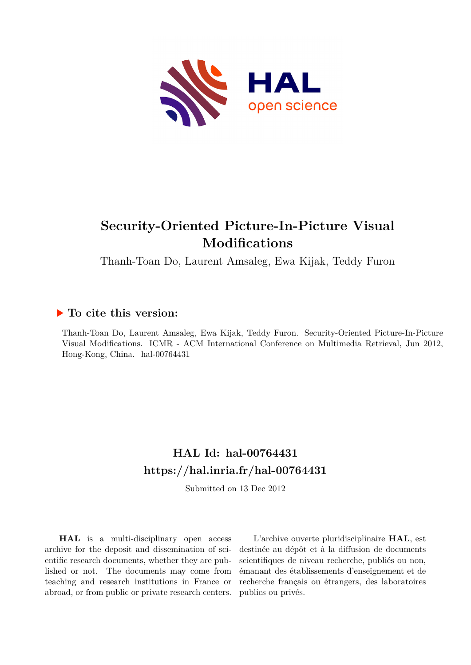

# **Security-Oriented Picture-In-Picture Visual Modifications**

Thanh-Toan Do, Laurent Amsaleg, Ewa Kijak, Teddy Furon

## **To cite this version:**

Thanh-Toan Do, Laurent Amsaleg, Ewa Kijak, Teddy Furon. Security-Oriented Picture-In-Picture Visual Modifications. ICMR - ACM International Conference on Multimedia Retrieval, Jun 2012, Hong-Kong, China. hal-00764431

# **HAL Id: hal-00764431 <https://hal.inria.fr/hal-00764431>**

Submitted on 13 Dec 2012

**HAL** is a multi-disciplinary open access archive for the deposit and dissemination of scientific research documents, whether they are published or not. The documents may come from teaching and research institutions in France or abroad, or from public or private research centers.

L'archive ouverte pluridisciplinaire **HAL**, est destinée au dépôt et à la diffusion de documents scientifiques de niveau recherche, publiés ou non, émanant des établissements d'enseignement et de recherche français ou étrangers, des laboratoires publics ou privés.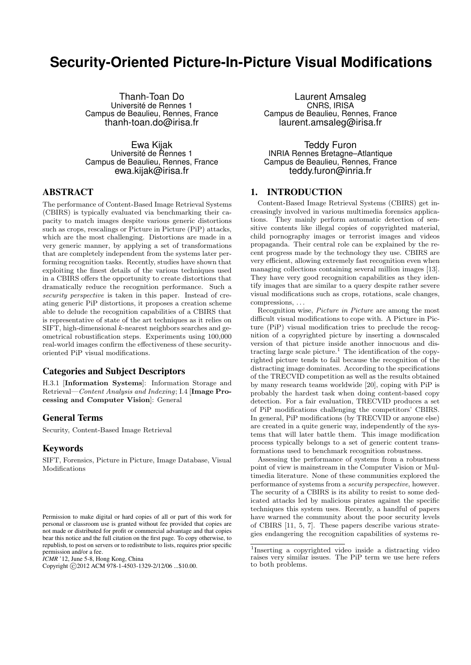## **Security-Oriented Picture-In-Picture Visual Modifications**

Thanh-Toan Do Université de Rennes 1 Campus de Beaulieu, Rennes, France thanh-toan.do@irisa.fr

Ewa Kijak Université de Rennes 1 Campus de Beaulieu, Rennes, France ewa.kijak@irisa.fr

## ABSTRACT

The performance of Content-Based Image Retrieval Systems (CBIRS) is typically evaluated via benchmarking their capacity to match images despite various generic distortions such as crops, rescalings or Picture in Picture (PiP) attacks, which are the most challenging. Distortions are made in a very generic manner, by applying a set of transformations that are completely independent from the systems later performing recognition tasks. Recently, studies have shown that exploiting the finest details of the various techniques used in a CBIRS offers the opportunity to create distortions that dramatically reduce the recognition performance. Such a security perspective is taken in this paper. Instead of creating generic PiP distortions, it proposes a creation scheme able to delude the recognition capabilities of a CBIRS that is representative of state of the art techniques as it relies on SIFT, high-dimensional  $k$ -nearest neighbors searches and geometrical robustification steps. Experiments using 100,000 real-world images confirm the effectiveness of these securityoriented PiP visual modifications.

## Categories and Subject Descriptors

H.3.1 [Information Systems]: Information Storage and Retrieval—Content Analysis and Indexing; I.4 [Image Processing and Computer Vision]: General

## General Terms

Security, Content-Based Image Retrieval

## Keywords

SIFT, Forensics, Picture in Picture, Image Database, Visual Modifications

*ICMR* '12, June 5-8, Hong Kong, China

Laurent Amsaleg CNRS, IRISA Campus de Beaulieu, Rennes, France laurent.amsaleg@irisa.fr

Teddy Furon INRIA Rennes Bretagne–Atlantique Campus de Beaulieu, Rennes, France teddy.furon@inria.fr

## 1. INTRODUCTION

Content-Based Image Retrieval Systems (CBIRS) get increasingly involved in various multimedia forensics applications. They mainly perform automatic detection of sensitive contents like illegal copies of copyrighted material, child pornography images or terrorist images and videos propaganda. Their central role can be explained by the recent progress made by the technology they use. CBIRS are very efficient, allowing extremely fast recognition even when managing collections containing several million images [13]. They have very good recognition capabilities as they identify images that are similar to a query despite rather severe visual modifications such as crops, rotations, scale changes, compressions, . . .

Recognition wise, Picture in Picture are among the most difficult visual modifications to cope with. A Picture in Picture (PiP) visual modification tries to preclude the recognition of a copyrighted picture by inserting a downscaled version of that picture inside another innocuous and distracting large scale picture.<sup>1</sup> The identification of the copyrighted picture tends to fail because the recognition of the distracting image dominates. According to the specifications of the TRECVID competition as well as the results obtained by many research teams worldwide [20], coping with PiP is probably the hardest task when doing content-based copy detection. For a fair evaluation, TRECVID produces a set of PiP modifications challenging the competitors' CBIRS. In general, PiP modifications (by TRECVID or anyone else) are created in a quite generic way, independently of the systems that will later battle them. This image modification process typically belongs to a set of generic content transformations used to benchmark recognition robustness.

Assessing the performance of systems from a robustness point of view is mainstream in the Computer Vision or Multimedia literature. None of these communities explored the performance of systems from a security perspective, however. The security of a CBIRS is its ability to resist to some dedicated attacks led by malicious pirates against the specific techniques this system uses. Recently, a handful of papers have warned the community about the poor security levels of CBIRS [11, 5, 7]. These papers describe various strategies endangering the recognition capabilities of systems re-

Permission to make digital or hard copies of all or part of this work for personal or classroom use is granted without fee provided that copies are not made or distributed for profit or commercial advantage and that copies bear this notice and the full citation on the first page. To copy otherwise, to republish, to post on servers or to redistribute to lists, requires prior specific permission and/or a fee.

Copyright C 2012 ACM 978-1-4503-1329-2/12/06 ... \$10.00.

<sup>&</sup>lt;sup>1</sup>Inserting a copyrighted video inside a distracting video raises very similar issues. The PiP term we use here refers to both problems.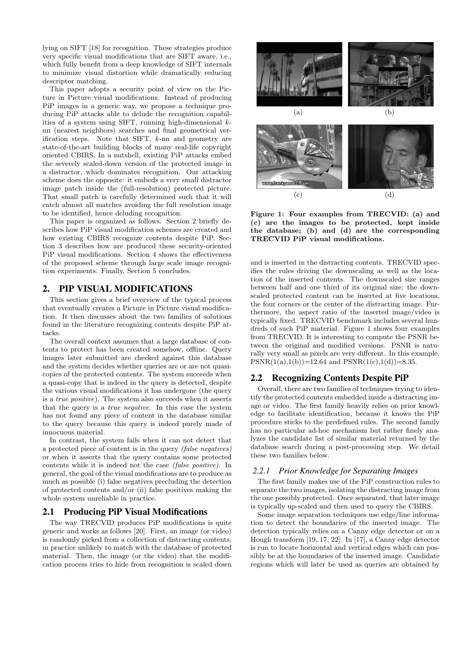lying on SIFT [18] for recognition. These strategies produce very specific visual modifications that are SIFT aware, i.e., which fully benefit from a deep knowledge of SIFT internals to minimize visual distortion while dramatically reducing descriptor matching.

This paper adopts a security point of view on the Picture in Picture visual modifications. Instead of producing PiP images in a generic way, we propose a technique producing PiP attacks able to delude the recognition capabilities of a system using SIFT, running high-dimensional knn (nearest neighbors) searches and final geometrical verification steps. Note that SIFT, k-nn and geometry are state-of-the-art building blocks of many real-life copyright oriented CBIRS. In a nutshell, existing PiP attacks embed the severely scaled-down version of the protected image in a distractor, which dominates recognition. Our attacking scheme does the opposite: it embeds a very small distractor image patch inside the (full-resolution) protected picture. That small patch is carefully determined such that it will catch almost all matches avoiding the full resolution image to be identified, hence deluding recognition.

This paper is organized as follows. Section 2 briefly describes how PiP visual modification schemes are created and how existing CBIRS recognize contents despite PiP. Section 3 describes how are produced these security-oriented PiP visual modifications. Section 4 shows the effectiveness of the proposed scheme through large scale image recognition experiments. Finally, Section 5 concludes.

## 2. PIP VISUAL MODIFICATIONS

This section gives a brief overview of the typical process that eventually creates a Picture in Picture visual modification. It then discusses about the two families of solutions found in the literature recognizing contents despite PiP attacks.

The overall context assumes that a large database of contents to protect has been created somehow, offline. Query images later submitted are checked against this database and the system decides whether queries are or are not quasicopies of the protected contents. The system succeeds when a quasi-copy that is indeed in the query is detected, despite the various visual modifications it has undergone (the query is a true positive). The system also succeeds when it asserts that the query is a true negative. In this case the system has not found any piece of content in the database similar to the query because this query is indeed purely made of innocuous material.

In contrast, the system fails when it can not detect that a protected piece of content is in the query (false negatives) or when it asserts that the query contains some protected contents while it is indeed not the case (false positive). In general, the goal of the visual modifications are to produce as much as possible (i) false negatives precluding the detection of protected contents and/or (ii) false positives making the whole system unreliable in practice.

## 2.1 Producing PiP Visual Modifications

The way TRECVID produces PiP modifications is quite generic and works as follows [20]. First, an image (or video) is randomly picked from a collection of distracting contents, in practice unlikely to match with the database of protected material. Then, the image (or the video) that the modification process tries to hide from recognition is scaled down



Figure 1: Four examples from TRECVID: (a) and (c) are the images to be protected, kept inside the database; (b) and (d) are the corresponding TRECVID PiP visual modifications.

and is inserted in the distracting contents. TRECVID specifies the rules driving the downscaling as well as the location of the inserted contents. The downscaled size ranges between half and one third of its original size; the downscaled protected content can be inserted at five locations, the four corners or the center of the distracting image. Furthermore, the aspect ratio of the inserted image/video is typically fixed. TRECVID benchmark includes several hundreds of such PiP material. Figure 1 shows four examples from TRECVID. It is interesting to compute the PSNR between the original and modified versions. PSNR is naturally very small as pixels are very different. In this example,  $PSNR(1(a),1(b))=12.64$  and  $PSNR(1(c),1(d))=8.35$ .

## 2.2 Recognizing Contents Despite PiP

Overall, there are two families of techniques trying to identify the protected contents embedded inside a distracting image or video. The first family heavily relies on prior knowledge to facilitate identification, because it knows the PiP procedure sticks to the predefined rules. The second family has no particular ad-hoc mechanism but rather finely analyzes the candidate list of similar material returned by the database search during a post-processing step. We detail these two families below.

#### *2.2.1 Prior Knowledge for Separating Images*

The first family makes use of the PiP construction rules to separate the two images, isolating the distracting image from the one possibly protected. Once separated, that later image is typically up-scaled and then used to query the CBIRS.

Some image separation techniques use edge/line information to detect the boundaries of the inserted image. The detection typically relies on a Canny edge detector or on a Hough transform [19, 17, 22]. In [17], a Canny edge detector is run to locate horizontal and vertical edges which can possibly be at the boundaries of the inserted image. Candidate regions which will later be used as queries are obtained by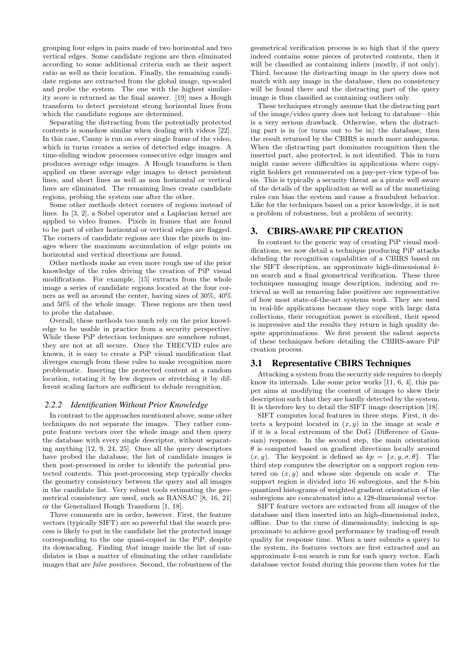grouping four edges in pairs made of two horizontal and two vertical edges. Some candidate regions are then eliminated according to some additional criteria such as their aspect ratio as well as their location. Finally, the remaining candidate regions are extracted from the global image, up-scaled and probe the system. The one with the highest similarity score is returned as the final answer. [19] uses a Hough transform to detect persistent strong horizontal lines from which the candidate regions are determined.

Separating the distracting from the potentially protected contents is somehow similar when dealing with videos [22]. In this case, Canny is run on every single frame of the video, which in turns creates a series of detected edge images. A time-sliding window processes consecutive edge images and produces average edge images. A Hough transform is then applied on these average edge images to detect persistent lines, and short lines as well as non horizontal or vertical lines are eliminated. The remaining lines create candidate regions, probing the system one after the other.

Some other methods detect corners of regions instead of lines. In [3, 2], a Sobel operator and a Laplacian kernel are applied to video frames. Pixels in frames that are found to be part of either horizontal or vertical edges are flagged. The corners of candidate regions are thus the pixels in images where the maximum accumulation of edge points on horizontal and vertical directions are found.

Other methods make an even more rough use of the prior knowledge of the rules driving the creation of PiP visual modifications. For example, [15] extracts from the whole image a series of candidate regions located at the four corners as well as around the center, having sizes of 30%, 40% and 50% of the whole image. These regions are then used to probe the database.

Overall, these methods too much rely on the prior knowledge to be usable in practice from a security perspective. While these PiP detection techniques are somehow robust, they are not at all secure. Once the TRECVID rules are known, it is easy to create a PiP visual modification that diverges enough from these rules to make recognition more problematic. Inserting the protected content at a random location, rotating it by few degrees or stretching it by different scaling factors are sufficient to delude recognition.

#### *2.2.2 Identification Without Prior Knowledge*

In contrast to the approaches mentioned above, some other techniques do not separate the images. They rather compute feature vectors over the whole image and then query the database with every single descriptor, without separating anything [12, 9, 24, 25]. Once all the query descriptors have probed the database, the list of candidate images is then post-processed in order to identify the potential protected contents. This post-processing step typically checks the geometry consistency between the query and all images in the candidate list. Very robust tools estimating the geometrical consistency are used, such as RANSAC [8, 16, 21] or the Generalized Hough Transform [1, 18].

Three comments are in order, however. First, the feature vectors (typically SIFT) are so powerful that the search process is likely to put in the candidate list the protected image corresponding to the one quasi-copied in the PiP, despite its downscaling. Finding that image inside the list of candidates is thus a matter of eliminating the other candidate images that are false positives. Second, the robustness of the

geometrical verification process is so high that if the query indeed contains some pieces of protected contents, then it will be classified as containing inliers (mostly, if not only). Third, because the distracting image in the query does not match with any image in the database, then no consistency will be found there and the distracting part of the query image is thus classified as containing outliers only.

These techniques strongly assume that the distracting part of the image/video query does not belong to database—this is a very serious drawback. Otherwise, when the distracting part is in (or turns out to be in) the database, then the result returned by the CBIRS is much more ambiguous. When the distracting part dominates recognition then the inserted part, also protected, is not identified. This in turn might cause severe difficulties in applications where copyright holders get remunerated on a pay-per-view type-of basis. This is typically a security threat as a pirate well aware of the details of the application as well as of the monetizing rules can bias the system and cause a fraudulent behavior. Like for the techniques based on a prior knowledge, it is not a problem of robustness, but a problem of security.

## 3. CBIRS-AWARE PIP CREATION

In contrast to the generic way of creating PiP visual modifications, we now detail a technique producing PiP attacks deluding the recognition capabilities of a CBIRS based on the SIFT description, an approximate high-dimensional knn search and a final geometrical verification. These three techniques managing image description, indexing and retrieval as well as removing false positives are representative of how most state-of-the-art systems work. They are used in real-life applications because they cope with large data collections, their recognition power is excellent, their speed is impressive and the results they return is high quality despite approximations. We first present the salient aspects of these techniques before detailing the CBIRS-aware PiP creation process.

### 3.1 Representative CBIRS Techniques

Attacking a system from the security side requires to deeply know its internals. Like some prior works [11, 6, 4], this paper aims at modifying the content of images to skew their description such that they are hardly detected by the system. It is therefore key to detail the SIFT image description [18].

SIFT computes local features in three steps. First, it detects a keypoint located in  $(x, y)$  in the image at scale  $\sigma$ if it is a local extremum of the DoG (Difference of Gaussian) response. In the second step, the main orientation  $\theta$  is computed based on gradient directions locally around  $(x, y)$ . The keypoint is defined as  $kp = \{x, y, \sigma, \theta\}$ . The third step computes the descriptor on a support region centered on  $(x, y)$  and whose size depends on scale  $\sigma$ . The support region is divided into 16 subregions, and the 8-bin quantized histograms of weighted gradient orientation of the subregions are concatenated into a 128-dimensional vector.

SIFT feature vectors are extracted from all images of the database and then inserted into an high-dimensional index, offline. Due to the curse of dimensionality, indexing is approximate to achieve good performance by trading-off result quality for response time. When a user submits a query to the system, its features vectors are first extracted and an approximate  $k$ -nn search is run for each query vector. Each database vector found during this process then votes for the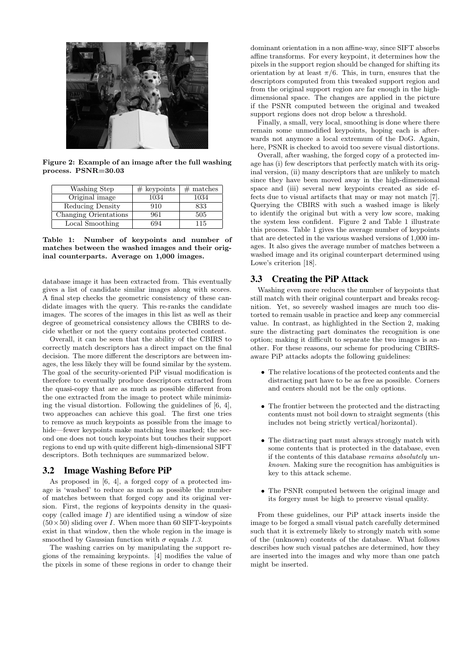

Figure 2: Example of an image after the full washing process. PSNR=30.03

| Washing Step          | $#$ keypoints | $#$ matches |
|-----------------------|---------------|-------------|
| Original image        | 1034          | 1034        |
| Reducing Density      | 910           | 833         |
| Changing Orientations | 961           | 505         |
| Local Smoothing       | 694           | 115         |

Table 1: Number of keypoints and number of matches between the washed images and their original counterparts. Average on 1,000 images.

database image it has been extracted from. This eventually gives a list of candidate similar images along with scores. A final step checks the geometric consistency of these candidate images with the query. This re-ranks the candidate images. The scores of the images in this list as well as their degree of geometrical consistency allows the CBIRS to decide whether or not the query contains protected content.

Overall, it can be seen that the ability of the CBIRS to correctly match descriptors has a direct impact on the final decision. The more different the descriptors are between images, the less likely they will be found similar by the system. The goal of the security-oriented PiP visual modification is therefore to eventually produce descriptors extracted from the quasi-copy that are as much as possible different from the one extracted from the image to protect while minimizing the visual distortion. Following the guidelines of  $[6, 4]$ , two approaches can achieve this goal. The first one tries to remove as much keypoints as possible from the image to hide—fewer keypoints make matching less marked; the second one does not touch keypoints but touches their support regions to end up with quite different high-dimensional SIFT descriptors. Both techniques are summarized below.

## 3.2 Image Washing Before PiP

As proposed in [6, 4], a forged copy of a protected image is 'washed' to reduce as much as possible the number of matches between that forged copy and its original version. First, the regions of keypoints density in the quasicopy (called image  $I$ ) are identified using a window of size  $(50 \times 50)$  sliding over I. When more than 60 SIFT-keypoints exist in that window, then the whole region in the image is smoothed by Gaussian function with  $\sigma$  equals 1.3.

The washing carries on by manipulating the support regions of the remaining keypoints. [4] modifies the value of the pixels in some of these regions in order to change their

dominant orientation in a non affine-way, since SIFT absorbs affine transforms. For every keypoint, it determines how the pixels in the support region should be changed for shifting its orientation by at least  $\pi/6$ . This, in turn, ensures that the descriptors computed from this tweaked support region and from the original support region are far enough in the highdimensional space. The changes are applied in the picture if the PSNR computed between the original and tweaked support regions does not drop below a threshold.

Finally, a small, very local, smoothing is done where there remain some unmodified keypoints, hoping each is afterwards not anymore a local extremum of the DoG. Again, here, PSNR is checked to avoid too severe visual distortions.

Overall, after washing, the forged copy of a protected image has (i) few descriptors that perfectly match with its original version, (ii) many descriptors that are unlikely to match since they have been moved away in the high-dimensional space and (iii) several new keypoints created as side effects due to visual artifacts that may or may not match [7]. Querying the CBIRS with such a washed image is likely to identify the original but with a very low score, making the system less confident. Figure 2 and Table 1 illustrate this process. Table 1 gives the average number of keypoints that are detected in the various washed versions of 1,000 images. It also gives the average number of matches between a washed image and its original counterpart determined using Lowe's criterion [18].

#### 3.3 Creating the PiP Attack

Washing even more reduces the number of keypoints that still match with their original counterpart and breaks recognition. Yet, so severely washed images are much too distorted to remain usable in practice and keep any commercial value. In contrast, as highlighted in the Section 2, making sure the distracting part dominates the recognition is one option; making it difficult to separate the two images is another. For these reasons, our scheme for producing CBIRSaware PiP attacks adopts the following guidelines:

- The relative locations of the protected contents and the distracting part have to be as free as possible. Corners and centers should not be the only options.
- The frontier between the protected and the distracting contents must not boil down to straight segments (this includes not being strictly vertical/horizontal).
- The distracting part must always strongly match with some contents that is protected in the database, even if the contents of this database remains absolutely unknown. Making sure the recognition has ambiguities is key to this attack scheme.
- The PSNR computed between the original image and its forgery must be high to preserve visual quality.

From these guidelines, our PiP attack inserts inside the image to be forged a small visual patch carefully determined such that it is extremely likely to strongly match with some of the (unknown) contents of the database. What follows describes how such visual patches are determined, how they are inserted into the images and why more than one patch might be inserted.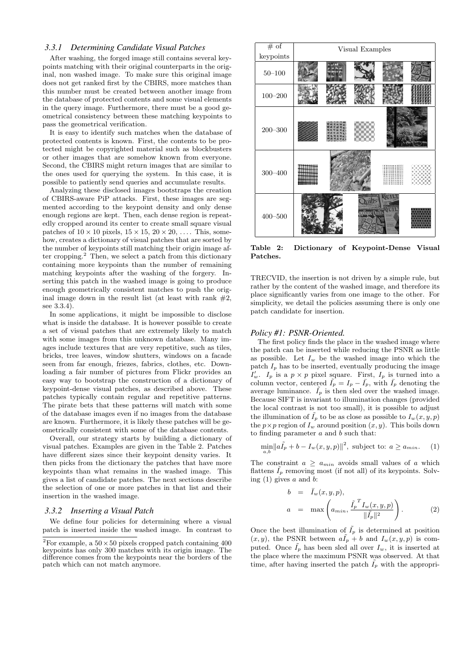#### *3.3.1 Determining Candidate Visual Patches*

After washing, the forged image still contains several keypoints matching with their original counterparts in the original, non washed image. To make sure this original image does not get ranked first by the CBIRS, more matches than this number must be created between another image from the database of protected contents and some visual elements in the query image. Furthermore, there must be a good geometrical consistency between these matching keypoints to pass the geometrical verification.

It is easy to identify such matches when the database of protected contents is known. First, the contents to be protected might be copyrighted material such as blockbusters or other images that are somehow known from everyone. Second, the CBIRS might return images that are similar to the ones used for querying the system. In this case, it is possible to patiently send queries and accumulate results.

Analyzing these disclosed images bootstraps the creation of CBIRS-aware PiP attacks. First, these images are segmented according to the keypoint density and only dense enough regions are kept. Then, each dense region is repeatedly cropped around its center to create small square visual patches of  $10 \times 10$  pixels,  $15 \times 15$ ,  $20 \times 20$ , .... This, somehow, creates a dictionary of visual patches that are sorted by the number of keypoints still matching their origin image after cropping.<sup>2</sup> Then, we select a patch from this dictionary containing more keypoints than the number of remaining matching keypoints after the washing of the forgery. Inserting this patch in the washed image is going to produce enough geometrically consistent matches to push the original image down in the result list (at least with rank  $#2$ , see 3.3.4).

In some applications, it might be impossible to disclose what is inside the database. It is however possible to create a set of visual patches that are extremely likely to match with some images from this unknown database. Many images include textures that are very repetitive, such as tiles, bricks, tree leaves, window shutters, windows on a facade seen from far enough, friezes, fabrics, clothes, etc. Downloading a fair number of pictures from Flickr provides an easy way to bootstrap the construction of a dictionary of keypoint-dense visual patches, as described above. These patches typically contain regular and repetitive patterns. The pirate bets that these patterns will match with some of the database images even if no images from the database are known. Furthermore, it is likely these patches will be geometrically consistent with some of the database contents.

Overall, our strategy starts by building a dictionary of visual patches. Examples are given in the Table 2. Patches have different sizes since their keypoint density varies. It then picks from the dictionary the patches that have more keypoints than what remains in the washed image. This gives a list of candidate patches. The next sections describe the selection of one or more patches in that list and their insertion in the washed image.

#### *3.3.2 Inserting a Visual Patch*

We define four policies for determining where a visual patch is inserted inside the washed image. In contrast to



Table 2: Dictionary of Keypoint-Dense Visual Patches.

TRECVID, the insertion is not driven by a simple rule, but rather by the content of the washed image, and therefore its place significantly varies from one image to the other. For simplicity, we detail the policies assuming there is only one patch candidate for insertion.

#### *Policy #1: PSNR-Oriented.*

The first policy finds the place in the washed image where the patch can be inserted while reducing the PSNR as little as possible. Let  $I_w$  be the washed image into which the patch  $I_p$  has to be inserted, eventually producing the image  $I'_w$ .  $I_p$  is a  $p \times p$  pixel square. First,  $I_p$  is turned into a column vector, centered  $\tilde{I}_p = I_p - \bar{I}_p$ , with  $\bar{I}_p$  denoting the average luminance.  $I_p$  is then sled over the washed image. Because SIFT is invariant to illumination changes (provided the local contrast is not too small), it is possible to adjust the illumination of  $\tilde{I}_p$  to be as close as possible to  $I_w(x, y, p)$ the  $p \times p$  region of  $I_w$  around position  $(x, y)$ . This boils down to finding parameter  $a$  and  $b$  such that:

$$
\min_{a,b} \|a\tilde{I}_p + b - I_w(x, y, p)\|^2, \text{ subject to: } a \ge a_{min}. \tag{1}
$$

The constraint  $a > a_{min}$  avoids small values of a which flattens  $I_p$  removing most (if not all) of its keypoints. Solving (1) gives  $a$  and  $\overline{b}$ :

$$
b = \bar{I}_w(x, y, p),
$$
  
\n
$$
a = \max\left(a_{min}, \frac{\tilde{I}_p^T I_w(x, y, p)}{\|\tilde{I}_p\|^2}\right).
$$
 (2)

Once the best illumination of  $I_p$  is determined at position  $(x, y)$ , the PSNR between  $aI_p + b$  and  $I_w(x, y, p)$  is computed. Once  $I_p$  has been sled all over  $I_w$ , it is inserted at the place where the maximum PSNR was observed. At that time, after having inserted the patch  $I_p$  with the appropri-

 $^2\rm{For\ example,}$ a $50\times50$  pixels cropped patch containing  $400$ keypoints has only 300 matches with its origin image. The difference comes from the keypoints near the borders of the patch which can not match anymore.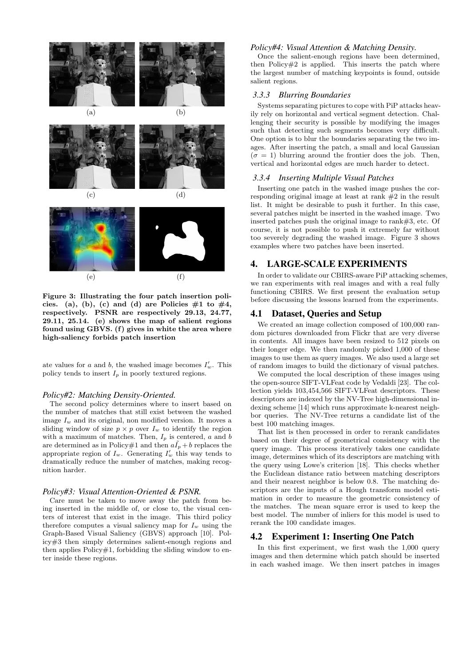

Figure 3: Illustrating the four patch insertion policies. (a), (b), (c) and (d) are Policies  $#1$  to  $#4$ , respectively. PSNR are respectively 29.13, 24.77, 29.11, 25.14. (e) shows the map of salient regions found using GBVS. (f) gives in white the area where high-saliency forbids patch insertion

ate values for a and b, the washed image becomes  $I'_w$ . This policy tends to insert  $I_p$  in poorly textured regions.

#### *Policy#2: Matching Density-Oriented.*

The second policy determines where to insert based on the number of matches that still exist between the washed image  $I_w$  and its original, non modified version. It moves a sliding window of size  $p \times p$  over  $I_w$  to identify the region with a maximum of matches. Then,  $I_p$  is centered,  $a$  and  $b$ are determined as in Policy#1 and then  $aI_p + b$  replaces the appropriate region of  $I_w$ . Generating  $I'_w$  this way tends to dramatically reduce the number of matches, making recognition harder.

#### *Policy#3: Visual Attention-Oriented & PSNR.*

Care must be taken to move away the patch from being inserted in the middle of, or close to, the visual centers of interest that exist in the image. This third policy therefore computes a visual saliency map for  $I_w$  using the Graph-Based Visual Saliency (GBVS) approach [10]. Policy#3 then simply determines salient-enough regions and then applies  $Policy#1$ , forbidding the sliding window to enter inside these regions.

#### *Policy#4: Visual Attention & Matching Density.*

Once the salient-enough regions have been determined, then  $Policy\#2$  is applied. This inserts the patch where the largest number of matching keypoints is found, outside salient regions.

#### *3.3.3 Blurring Boundaries*

Systems separating pictures to cope with PiP attacks heavily rely on horizontal and vertical segment detection. Challenging their security is possible by modifying the images such that detecting such segments becomes very difficult. One option is to blur the boundaries separating the two images. After inserting the patch, a small and local Gaussian  $\sigma = 1$ ) blurring around the frontier does the job. Then, vertical and horizontal edges are much harder to detect.

#### *3.3.4 Inserting Multiple Visual Patches*

Inserting one patch in the washed image pushes the corresponding original image at least at rank #2 in the result list. It might be desirable to push it further. In this case, several patches might be inserted in the washed image. Two inserted patches push the original image to rank#3, etc. Of course, it is not possible to push it extremely far without too severely degrading the washed image. Figure 3 shows examples where two patches have been inserted.

## 4. LARGE-SCALE EXPERIMENTS

In order to validate our CBIRS-aware PiP attacking schemes, we ran experiments with real images and with a real fully functioning CBIRS. We first present the evaluation setup before discussing the lessons learned from the experiments.

#### 4.1 Dataset, Queries and Setup

We created an image collection composed of 100,000 random pictures downloaded from Flickr that are very diverse in contents. All images have been resized to 512 pixels on their longer edge. We then randomly picked 1,000 of these images to use them as query images. We also used a large set of random images to build the dictionary of visual patches.

We computed the local description of these images using the open-source SIFT-VLFeat code by Vedaldi [23]. The collection yields 103,454,566 SIFT-VLFeat descriptors. These descriptors are indexed by the NV-Tree high-dimensional indexing scheme [14] which runs approximate k-nearest neighbor queries. The NV-Tree returns a candidate list of the best 100 matching images.

That list is then processed in order to rerank candidates based on their degree of geometrical consistency with the query image. This process iteratively takes one candidate image, determines which of its descriptors are matching with the query using Lowe's criterion [18]. This checks whether the Euclidean distance ratio between matching descriptors and their nearest neighbor is below 0.8. The matching descriptors are the inputs of a Hough transform model estimation in order to measure the geometric consistency of the matches. The mean square error is used to keep the best model. The number of inliers for this model is used to rerank the 100 candidate images.

#### 4.2 Experiment 1: Inserting One Patch

In this first experiment, we first wash the 1,000 query images and then determine which patch should be inserted in each washed image. We then insert patches in images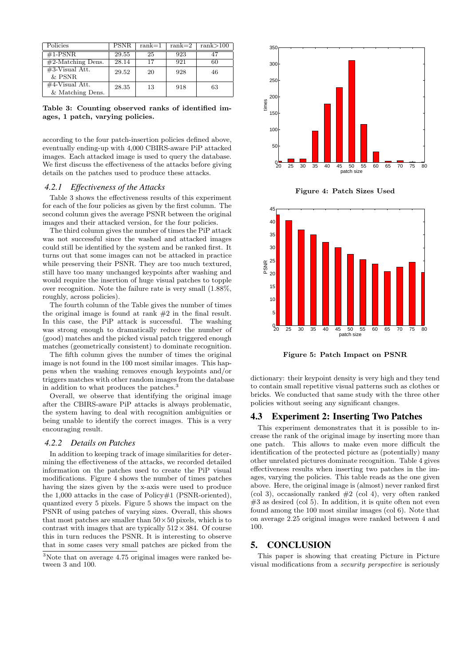| Policies                               | <b>PSNR</b> | $rank=1$ | $rank=2$ | rank>100 |
|----------------------------------------|-------------|----------|----------|----------|
| $\#1$ -PSNR                            | 29.55       | 25       | 923      | 47       |
| $\overline{\text{\#2-Matching Dens.}}$ | 28.14       | 17       | 921      | 60       |
| $\#3$ -Visual Att.                     | 29.52       | 20       | 928      | 46       |
| $&$ PSNR.                              |             |          |          |          |
| $\#4$ -Visual Att.                     | 28.35       | 13       | 918      | 63       |
| & Matching Dens.                       |             |          |          |          |

Table 3: Counting observed ranks of identified images, 1 patch, varying policies.

according to the four patch-insertion policies defined above, eventually ending-up with 4,000 CBIRS-aware PiP attacked images. Each attacked image is used to query the database. We first discuss the effectiveness of the attacks before giving details on the patches used to produce these attacks.

#### *4.2.1 Effectiveness of the Attacks*

Table 3 shows the effectiveness results of this experiment for each of the four policies as given by the first column. The second column gives the average PSNR between the original images and their attacked version, for the four policies.

The third column gives the number of times the PiP attack was not successful since the washed and attacked images could still be identified by the system and be ranked first. It turns out that some images can not be attacked in practice while preserving their PSNR. They are too much textured, still have too many unchanged keypoints after washing and would require the insertion of huge visual patches to topple over recognition. Note the failure rate is very small (1.88%, roughly, across policies).

The fourth column of the Table gives the number of times the original image is found at rank #2 in the final result. In this case, the PiP attack is successful. The washing was strong enough to dramatically reduce the number of (good) matches and the picked visual patch triggered enough matches (geometrically consistent) to dominate recognition.

The fifth column gives the number of times the original image is not found in the 100 most similar images. This happens when the washing removes enough keypoints and/or triggers matches with other random images from the database in addition to what produces the patches.<sup>3</sup>

Overall, we observe that identifying the original image after the CBIRS-aware PiP attacks is always problematic, the system having to deal with recognition ambiguities or being unable to identify the correct images. This is a very encouraging result.

#### *4.2.2 Details on Patches*

In addition to keeping track of image similarities for determining the effectiveness of the attacks, we recorded detailed information on the patches used to create the PiP visual modifications. Figure 4 shows the number of times patches having the sizes given by the x-axis were used to produce the 1,000 attacks in the case of Policy#1 (PSNR-oriented), quantized every 5 pixels. Figure 5 shows the impact on the PSNR of using patches of varying sizes. Overall, this shows that most patches are smaller than  $50 \times 50$  pixels, which is to contrast with images that are typically  $512 \times 384$ . Of course this in turn reduces the PSNR. It is interesting to observe that in some cases very small patches are picked from the



Figure 4: Patch Sizes Used



Figure 5: Patch Impact on PSNR

dictionary: their keypoint density is very high and they tend to contain small repetitive visual patterns such as clothes or bricks. We conducted that same study with the three other policies without seeing any significant changes.

#### 4.3 Experiment 2: Inserting Two Patches

This experiment demonstrates that it is possible to increase the rank of the original image by inserting more than one patch. This allows to make even more difficult the identification of the protected picture as (potentially) many other unrelated pictures dominate recognition. Table 4 gives effectiveness results when inserting two patches in the images, varying the policies. This table reads as the one given above. Here, the original image is (almost) never ranked first (col 3), occasionally ranked  $#2$  (col 4), very often ranked  $#3$  as desired (col 5). In addition, it is quite often not even found among the 100 most similar images (col 6). Note that on average 2.25 original images were ranked between 4 and 100.

#### 5. CONCLUSION

This paper is showing that creating Picture in Picture visual modifications from a security perspective is seriously

<sup>3</sup>Note that on average 4.75 original images were ranked between 3 and 100.